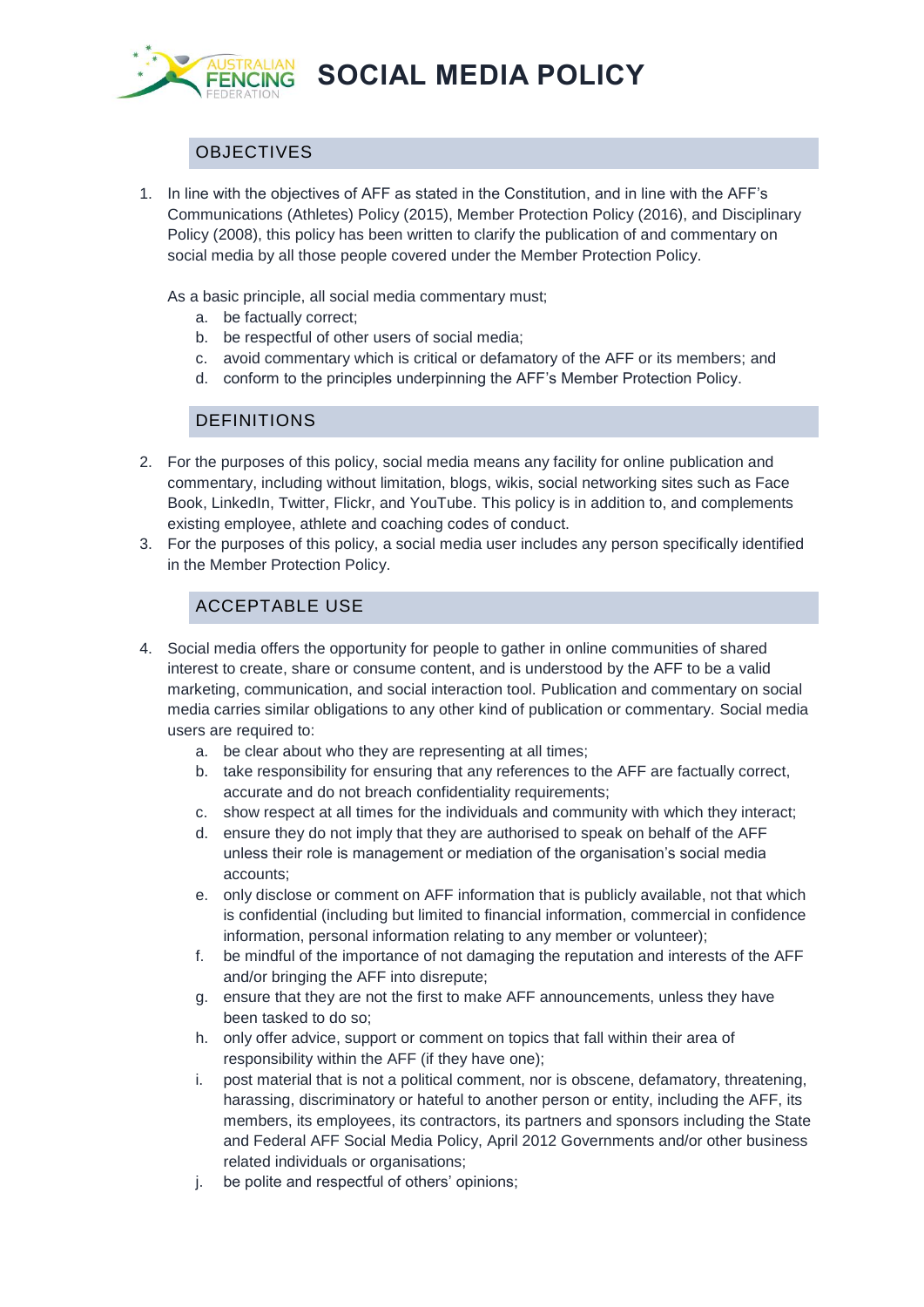

**SOCIAL MEDIA POLICY**

## **OBJECTIVES**

1. In line with the objectives of AFF as stated in the Constitution, and in line with the AFF's Communications (Athletes) Policy (2015), Member Protection Policy (2016), and Disciplinary Policy (2008), this policy has been written to clarify the publication of and commentary on social media by all those people covered under the Member Protection Policy.

As a basic principle, all social media commentary must;

- a. be factually correct;
- b. be respectful of other users of social media;
- c. avoid commentary which is critical or defamatory of the AFF or its members; and
- d. conform to the principles underpinning the AFF's Member Protection Policy.

## DEFINITIONS

- 2. For the purposes of this policy, social media means any facility for online publication and commentary, including without limitation, blogs, wikis, social networking sites such as Face Book, LinkedIn, Twitter, Flickr, and YouTube. This policy is in addition to, and complements existing employee, athlete and coaching codes of conduct.
- 3. For the purposes of this policy, a social media user includes any person specifically identified in the Member Protection Policy.

## ACCEPTABLE USE

- 4. Social media offers the opportunity for people to gather in online communities of shared interest to create, share or consume content, and is understood by the AFF to be a valid marketing, communication, and social interaction tool. Publication and commentary on social media carries similar obligations to any other kind of publication or commentary. Social media users are required to:
	- a. be clear about who they are representing at all times;
	- b. take responsibility for ensuring that any references to the AFF are factually correct, accurate and do not breach confidentiality requirements;
	- c. show respect at all times for the individuals and community with which they interact;
	- d. ensure they do not imply that they are authorised to speak on behalf of the AFF unless their role is management or mediation of the organisation's social media accounts;
	- e. only disclose or comment on AFF information that is publicly available, not that which is confidential (including but limited to financial information, commercial in confidence information, personal information relating to any member or volunteer);
	- f. be mindful of the importance of not damaging the reputation and interests of the AFF and/or bringing the AFF into disrepute;
	- g. ensure that they are not the first to make AFF announcements, unless they have been tasked to do so;
	- h. only offer advice, support or comment on topics that fall within their area of responsibility within the AFF (if they have one);
	- i. post material that is not a political comment, nor is obscene, defamatory, threatening, harassing, discriminatory or hateful to another person or entity, including the AFF, its members, its employees, its contractors, its partners and sponsors including the State and Federal AFF Social Media Policy, April 2012 Governments and/or other business related individuals or organisations;
	- j. be polite and respectful of others' opinions;